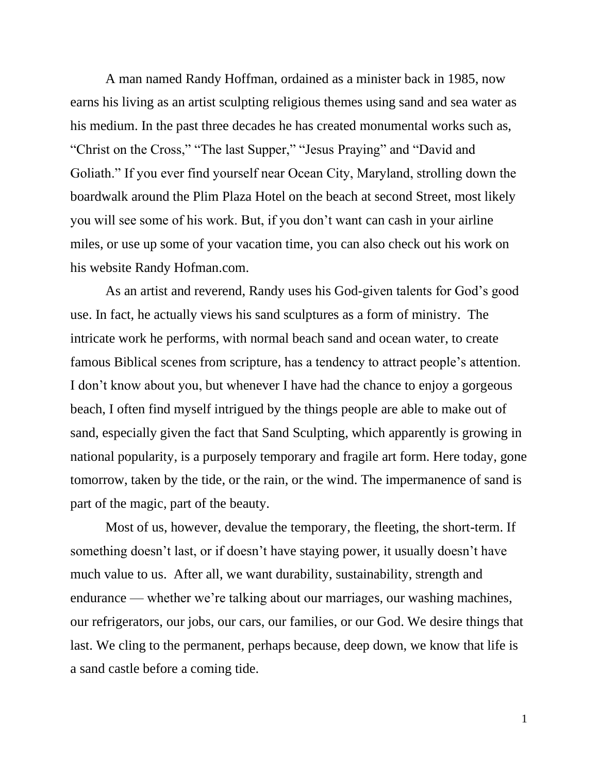A man named Randy Hoffman, ordained as a minister back in 1985, now earns his living as an artist sculpting religious themes using sand and sea water as his medium. In the past three decades he has created monumental works such as, "Christ on the Cross," "The last Supper," "Jesus Praying" and "David and Goliath." If you ever find yourself near Ocean City, Maryland, strolling down the boardwalk around the Plim Plaza Hotel on the beach at second Street, most likely you will see some of his work. But, if you don't want can cash in your airline miles, or use up some of your vacation time, you can also check out his work on his website Randy Hofman.com.

As an artist and reverend, Randy uses his God-given talents for God's good use. In fact, he actually views his sand sculptures as a form of ministry. The intricate work he performs, with normal beach sand and ocean water, to create famous Biblical scenes from scripture, has a tendency to attract people's attention. I don't know about you, but whenever I have had the chance to enjoy a gorgeous beach, I often find myself intrigued by the things people are able to make out of sand, especially given the fact that Sand Sculpting, which apparently is growing in national popularity, is a purposely temporary and fragile art form. Here today, gone tomorrow, taken by the tide, or the rain, or the wind. The impermanence of sand is part of the magic, part of the beauty.

Most of us, however, devalue the temporary, the fleeting, the short-term. If something doesn't last, or if doesn't have staying power, it usually doesn't have much value to us. After all, we want durability, sustainability, strength and endurance — whether we're talking about our marriages, our washing machines, our refrigerators, our jobs, our cars, our families, or our God. We desire things that last. We cling to the permanent, perhaps because, deep down, we know that life is a sand castle before a coming tide.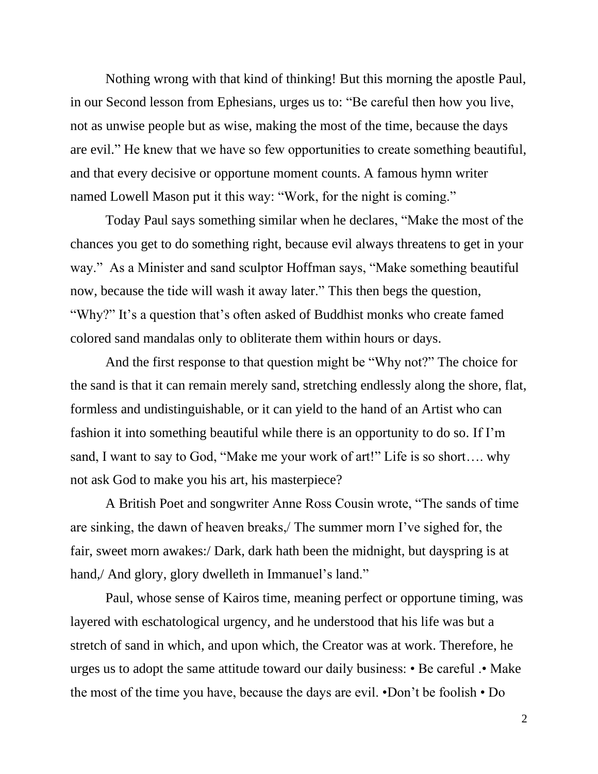Nothing wrong with that kind of thinking! But this morning the apostle Paul, in our Second lesson from Ephesians, urges us to: "Be careful then how you live, not as unwise people but as wise, making the most of the time, because the days are evil." He knew that we have so few opportunities to create something beautiful, and that every decisive or opportune moment counts. A famous hymn writer named Lowell Mason put it this way: "Work, for the night is coming."

Today Paul says something similar when he declares, "Make the most of the chances you get to do something right, because evil always threatens to get in your way." As a Minister and sand sculptor Hoffman says, "Make something beautiful now, because the tide will wash it away later." This then begs the question, "Why?" It's a question that's often asked of Buddhist monks who create famed colored sand mandalas only to obliterate them within hours or days.

And the first response to that question might be "Why not?" The choice for the sand is that it can remain merely sand, stretching endlessly along the shore, flat, formless and undistinguishable, or it can yield to the hand of an Artist who can fashion it into something beautiful while there is an opportunity to do so. If I'm sand, I want to say to God, "Make me your work of art!" Life is so short…. why not ask God to make you his art, his masterpiece?

A British Poet and songwriter Anne Ross Cousin wrote, "The sands of time are sinking, the dawn of heaven breaks,/ The summer morn I've sighed for, the fair, sweet morn awakes:/ Dark, dark hath been the midnight, but dayspring is at hand,/ And glory, glory dwelleth in Immanuel's land."

Paul, whose sense of Kairos time, meaning perfect or opportune timing, was layered with eschatological urgency, and he understood that his life was but a stretch of sand in which, and upon which, the Creator was at work. Therefore, he urges us to adopt the same attitude toward our daily business: • Be careful .• Make the most of the time you have, because the days are evil. •Don't be foolish • Do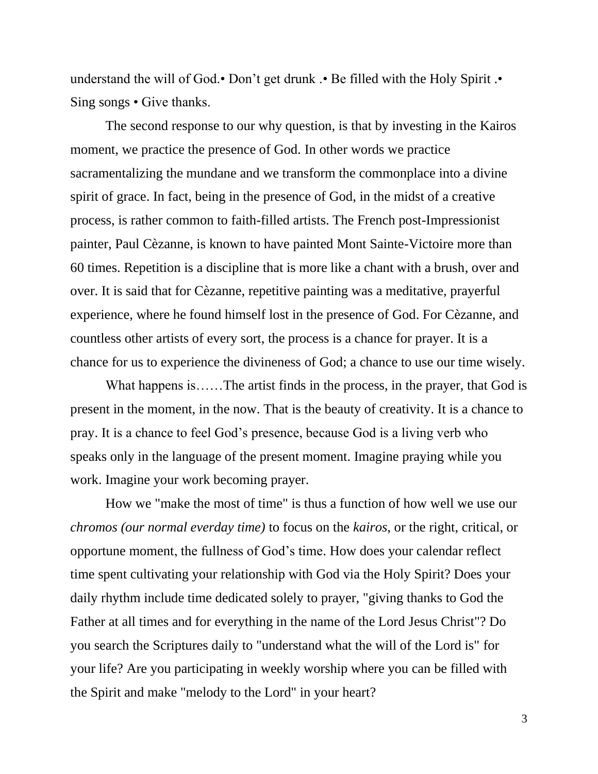understand the will of God.• Don't get drunk .• Be filled with the Holy Spirit .• Sing songs • Give thanks.

The second response to our why question, is that by investing in the Kairos moment, we practice the presence of God. In other words we practice sacramentalizing the mundane and we transform the commonplace into a divine spirit of grace. In fact, being in the presence of God, in the midst of a creative process, is rather common to faith-filled artists. The French post-Impressionist painter, Paul Cèzanne, is known to have painted Mont Sainte-Victoire more than 60 times. Repetition is a discipline that is more like a chant with a brush, over and over. It is said that for Cèzanne, repetitive painting was a meditative, prayerful experience, where he found himself lost in the presence of God. For Cèzanne, and countless other artists of every sort, the process is a chance for prayer. It is a chance for us to experience the divineness of God; a chance to use our time wisely.

What happens is……The artist finds in the process, in the prayer, that God is present in the moment, in the now. That is the beauty of creativity. It is a chance to pray. It is a chance to feel God's presence, because God is a living verb who speaks only in the language of the present moment. Imagine praying while you work. Imagine your work becoming prayer.

How we "make the most of time" is thus a function of how well we use our *chromos (our normal everday time)* to focus on the *kairos*, or the right, critical, or opportune moment, the fullness of God's time. How does your calendar reflect time spent cultivating your relationship with God via the Holy Spirit? Does your daily rhythm include time dedicated solely to prayer, "giving thanks to God the Father at all times and for everything in the name of the Lord Jesus Christ"? Do you search the Scriptures daily to "understand what the will of the Lord is" for your life? Are you participating in weekly worship where you can be filled with the Spirit and make "melody to the Lord" in your heart?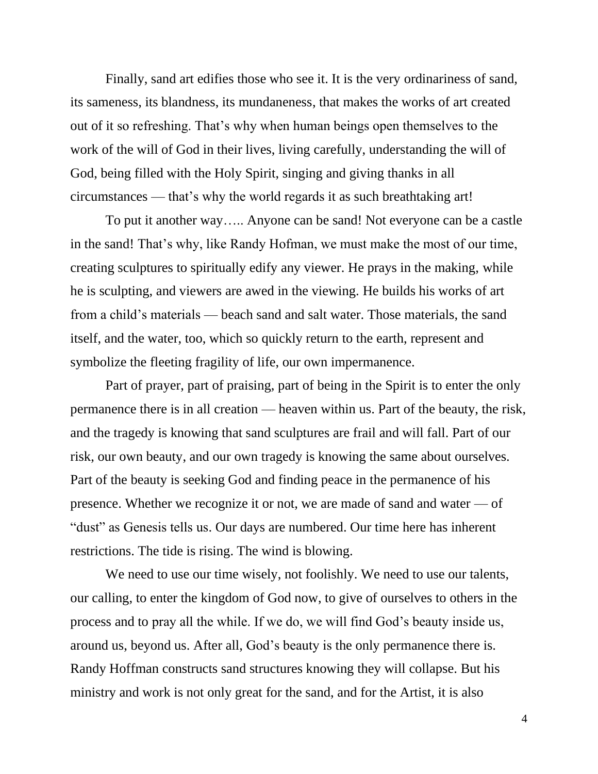Finally, sand art edifies those who see it. It is the very ordinariness of sand, its sameness, its blandness, its mundaneness, that makes the works of art created out of it so refreshing. That's why when human beings open themselves to the work of the will of God in their lives, living carefully, understanding the will of God, being filled with the Holy Spirit, singing and giving thanks in all circumstances — that's why the world regards it as such breathtaking art!

To put it another way….. Anyone can be sand! Not everyone can be a castle in the sand! That's why, like Randy Hofman, we must make the most of our time, creating sculptures to spiritually edify any viewer. He prays in the making, while he is sculpting, and viewers are awed in the viewing. He builds his works of art from a child's materials — beach sand and salt water. Those materials, the sand itself, and the water, too, which so quickly return to the earth, represent and symbolize the fleeting fragility of life, our own impermanence.

Part of prayer, part of praising, part of being in the Spirit is to enter the only permanence there is in all creation — heaven within us. Part of the beauty, the risk, and the tragedy is knowing that sand sculptures are frail and will fall. Part of our risk, our own beauty, and our own tragedy is knowing the same about ourselves. Part of the beauty is seeking God and finding peace in the permanence of his presence. Whether we recognize it or not, we are made of sand and water — of "dust" as Genesis tells us. Our days are numbered. Our time here has inherent restrictions. The tide is rising. The wind is blowing.

We need to use our time wisely, not foolishly. We need to use our talents, our calling, to enter the kingdom of God now, to give of ourselves to others in the process and to pray all the while. If we do, we will find God's beauty inside us, around us, beyond us. After all, God's beauty is the only permanence there is. Randy Hoffman constructs sand structures knowing they will collapse. But his ministry and work is not only great for the sand, and for the Artist, it is also